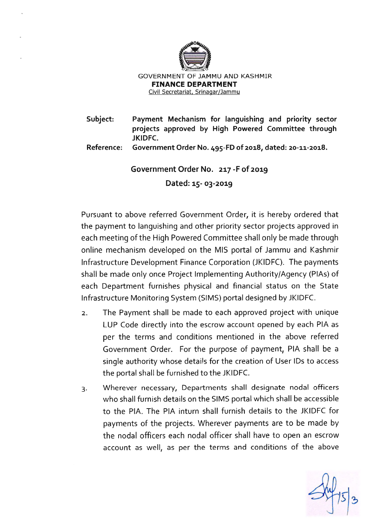

**Subject: Payment Mechanism for languishing and priority sector projects approved by High Powered Committee through JKIDFC.** 

**Reference: Government Order No. 495-FD of 2018, dated: 20-11-2018.** 

**Government Order No. 217 -F of 2019** 

**Dated: 15- 03-2019** 

Pursuant to above referred Government Order, it is hereby ordered that the payment to languishing and other priority sector projects approved in each meeting of the High Powered Committee shall only be made through online mechanism developed on the MIS portal of Jammu and Kashmir Infrastructure Development Finance Corporation (JKIDFC). The payments shall be made only once Project Implementing Authority/Agency (PIAs) of each Department furnishes physical and financial status on the State Infrastructure Monitoring System (SIMS) portal designed by JKIDFC.

- 2. The Payment shall be made to each approved project with unique LUP Code directly into the escrow account opened by each PIA as per the terms and conditions mentioned in the above referred Government Order. For the purpose of payment, PIA shall be a single authority whose details for the creation of User IDs to access the portal shall be furnished to the JKIDFC.
- 3. Wherever necessary, Departments shall designate nodal officers who shall furnish details on the SIMS portal which shall be accessible to the PIA. The PIA inturn shall furnish details to the JKIDFC for payments of the projects. Wherever payments are to be made by the nodal officers each nodal officer shall have to open an escrow account as well, as per the terms and conditions of the above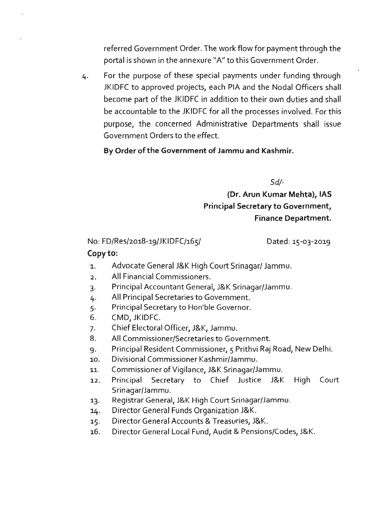referred Government Order. The work flow for payment through the portal is shown in the annexure "A" to this Government Order.

4. For the purpose of these special payments under funding through JKIDFC to approved projects, each PIA and the Nodal Officers shall become part of the JKIDFC in addition to their own duties and shall be accountable to the JKIDFC for all the processes involved. For this purpose, the concerned Administrative Departments shall issue Government Orders to the effect.

#### **By Order of the Government of Jammu and Kashmir.**

*Sd/-*

**(Dr. Arun Kumar Mehta), IAS Principal Secretary to Government, Finance Department.** 

## No: FD/Res/2018-19/JKIDFC/165/

Dated: 15-03-2019

#### **Copy to:**

- 1. Advocate General J&K High Court Srinagar/ Jammu.
- 2. All Financial Commissioners.
- 3. Principal Accountant General, J&K Srinagar/Jammu.
- 4. All Principal Secretaries to Government.
- 5. Principal Secretary to Hon'ble Governor.
- 6. CMD, JKIDFC.
- 7. Chief Electoral Officer, J&K, Jammu.
- 8. All Commissioner/Secretaries to Government.
- 9. Principal Resident Commissioner, 5 Prithvi Raj Road, New Delhi.
- 10. Divisional Commissioner Kashmir/Jammu.
- 11. Commissioner of Vigilance, J&K Srinagar/Jammu.
- 12. Principal Secretary to Chief Justice J&K High Court Srinagar/Jammu.
- 13. Registrar General, J&K High Court Srinagar/Jammu.
- 14. Director General Funds Organization J&K.
- 15. Director General Accounts & Treasuries, J&K.
- 16. Director General Local Fund, Audit & Pensions/Codes, J&K.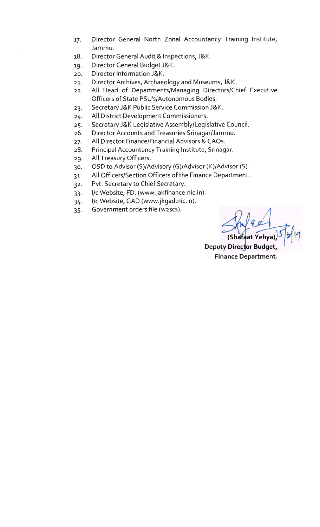- 17. Director General North Zonal Accountancy Training Institute, Jammu.
- 18. Director General Audit & Inspections, J&K.
- 19. Director General Budget J&K.
- 20. Director Information J&K.
- 21. Director Archives, Archaeology and Museums, J&K.
- 22. All Head of Departments/Managing Directors/Chief Executive Officers of State PSU's/Autonomous Bodies.
- 23. Secretary J&K Public Service Commission J&K.
- 24. All District Development Commissioners.
- 25. Secretary J&K Legislative Assembly/Legislative Council.
- 26. Director Accounts and Treasuries Srinagar/Jammu.
- 27. All Director Finance/Financial Advisors & CAOs.
- 28. Principal Accountancy Training Institute, Srinagar.
- 29. All Treasury Officers.
- 30. OSD to Advisor (5)/Advisory (G)/Advisor (K)/Advisor (5).
- 31. All Officers/Section Officers of the Finance Department.
- 32. Pvt. Secretary to Chief Secretary.
- 33. 1/c Website, FD. (www.jakfinance.nic.in).
- 34. 1/c Website, GAD (www.jkgad.nic.in).
- 35. Government orders file (w2scs).

<u>red</u> (Shafaat Yehya), $^{13}$   $^{21}$   $^{19}$ 

**Deputy Director Budget Finance Department.**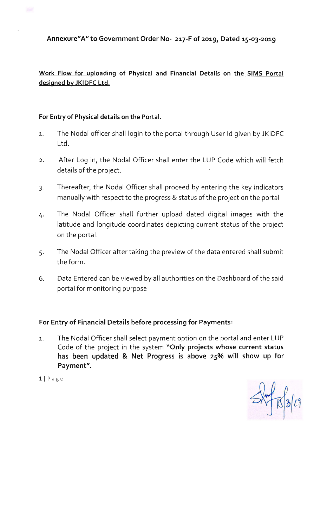**Annexure" A" to Government Order No- 217-F of 2019, Dated 15-03-2019** 

**Work Flow for uploading of Physical and Financial Details on the SIMS Portal designed by JKIDFC Ltd.** 

## **For Entry of Physical details on the Portal.**

- 1. The Nodal officer shall login to the portal through User Id given by JKIDFC Ltd.
- 2. After Log in, the Nodal Officer shall enter the LUP Code which will fetch details of the project.
- 3. Thereafter, the Nodal Officer shall proceed by entering the key indicators manually with respect to the progress & status of the project on the portal
- 4. The Nodal Officer shall further upload dated digital images with the latitude and longitude coordinates depicting current status of the project on the portal.
- 5. The Nodal Officer after taking the preview of the data entered shall submit the form.
- 6. Data Entered can be viewed by all authorities on the Dashboard of the said portal for monitoring purpose

## **For Entry of Financial Details before processing for Payments:**

1. The Nodal Officer shall select payment option on the portal and enter LUP Code of the project in the system **"Only projects whose current status has been updated & Net Progress is above 25% will show up for Payment".** 

 $1 | P \nexists g e$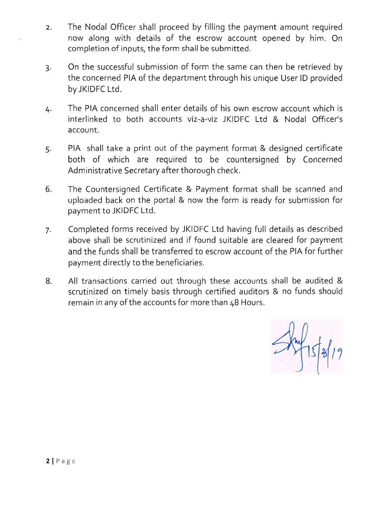- 2. The Nodal Officer shall proceed by filling the payment amount required now along with details of the escrow account opened by him. On completion of inputs, the form shall be submitted.
- 3. On the successful submission of form the same can then be retrieved by the concerned PIA of the department through his unique User ID provided by JKIDFC Ltd.
- 4. The PIA concerned shall enter details of his own escrow account which is interlinked to both accounts viz-a-viz JKIDFC Ltd & Nodal Officer's account.
- 5. PIA shall take a print out of the payment format & designed certificate both of which are required to be countersigned by Concerned Administrative Secretary after thorough check.
- 6. The Countersigned Certificate & Payment format shall be scanned and uploaded back on the portal & now the form is ready for submission for payment to JKIDFC Ltd.
- 7. Completed forms received by JKIDFC Ltd having full details as described above shall be scrutinized and if found suitable are cleared for payment and the funds shall be transferred to escrow account of the PIA for further payment directly to the beneficiaries.
- 8. All transactions carried out through these accounts shall be audited & scrutinized on timely basis through certified auditors & no funds should remain in any of the accounts for more than 48 Hours.

 $\frac{1}{\sqrt{2}}$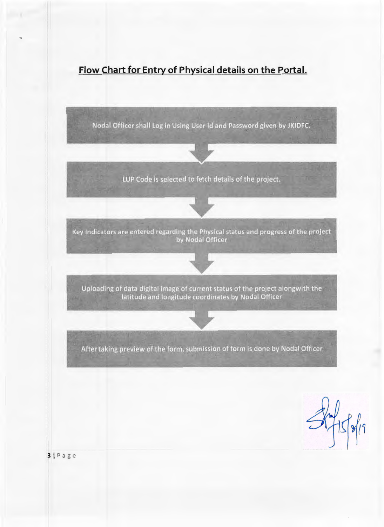

Nodal Officer shall Log in Using User Id and Password given by JKIDFC.

LUP Code is selected to fetch details of the project.



Key Indicators are entered regarding the Physical status and progress of the project<br>by Nodal Officer

Uploading of data digital image of current status of the project alongwith the latitude and longitude coordinates by Nodal Officer

After taking preview of the form, submission of form is done by Nodal Officer

 $5 - 55 - 15$